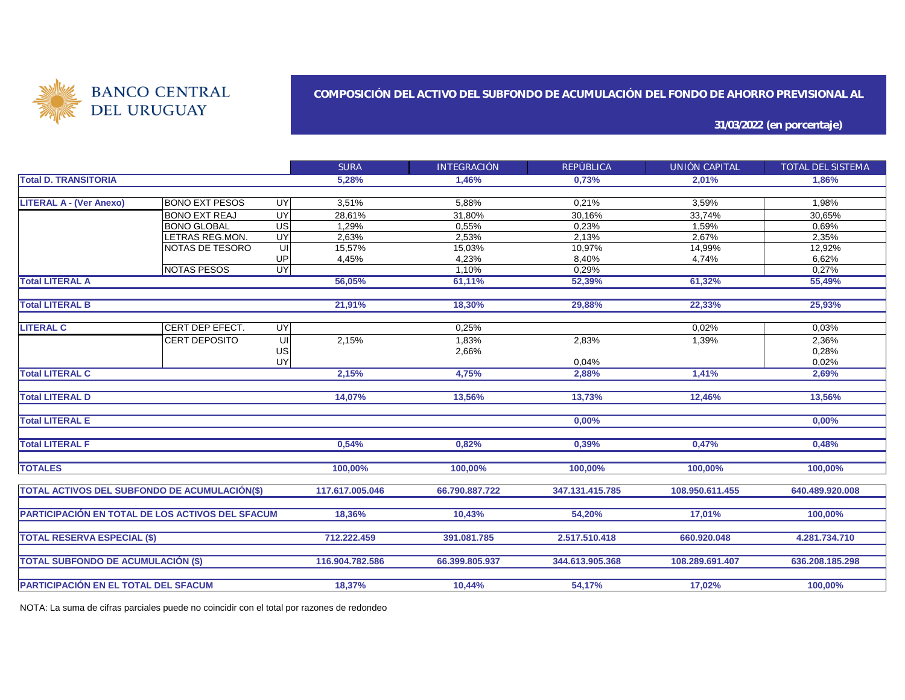

#### **COMPOSICIÓN DEL ACTIVO DEL SUBFONDO DE ACUMULACIÓN DEL FONDO DE AHORRO PREVISIONAL AL**

**31/03/2022 (en porcentaje)**

|                                                                                                                         |                        |                                          | <b>SURA</b>                             | <b>INTEGRACIÓN</b>                         | <b>REPÚBLICA</b>                         | UNIÓN CAPITAL                               | TOTAL DEL SISTEMA |
|-------------------------------------------------------------------------------------------------------------------------|------------------------|------------------------------------------|-----------------------------------------|--------------------------------------------|------------------------------------------|---------------------------------------------|-------------------|
| <b>Total D. TRANSITORIA</b>                                                                                             |                        |                                          | 5,28%                                   | 1,46%                                      | 0,73%                                    | 2,01%                                       | 1,86%             |
|                                                                                                                         |                        |                                          |                                         |                                            |                                          |                                             |                   |
| <b>LITERAL A - (Ver Anexo)</b>                                                                                          | <b>BONO EXT PESOS</b>  | <b>UY</b>                                | 3,51%                                   | 5,88%                                      | 0,21%                                    | 3,59%                                       | 1,98%             |
|                                                                                                                         | <b>BONO EXT REAJ</b>   | <b>UY</b>                                | 28,61%                                  | 31,80%                                     | 30,16%                                   | 33,74%                                      | 30,65%            |
|                                                                                                                         | <b>BONO GLOBAL</b>     | $\overline{US}$                          | 1,29%                                   | 0,55%                                      | 0,23%                                    | 1,59%                                       | 0,69%             |
|                                                                                                                         | <b>LETRAS REG.MON.</b> | UY                                       | 2,63%                                   | 2,53%                                      | 2,13%                                    | 2,67%                                       | 2,35%             |
|                                                                                                                         | NOTAS DE TESORO        | UI                                       | 15,57%                                  | 15,03%                                     | 10,97%                                   | 14,99%                                      | 12,92%            |
|                                                                                                                         |                        | UP                                       | 4,45%                                   | 4,23%                                      | 8.40%                                    | 4.74%                                       | 6,62%             |
|                                                                                                                         | <b>NOTAS PESOS</b>     | <b>UY</b>                                |                                         | 1,10%                                      | 0,29%                                    |                                             | 0,27%             |
| <b>Total LITERAL A</b>                                                                                                  |                        |                                          | 56,05%                                  | 61,11%                                     | 52,39%                                   | 61,32%                                      | 55,49%            |
|                                                                                                                         |                        |                                          |                                         |                                            |                                          |                                             |                   |
| <b>Total LITERAL B</b>                                                                                                  |                        |                                          | 21,91%                                  | 18,30%                                     | 29,88%                                   | 22,33%                                      | 25,93%            |
|                                                                                                                         |                        |                                          |                                         |                                            |                                          |                                             |                   |
| <b>LITERAL C</b>                                                                                                        | CERT DEP EFECT.        | <b>UY</b>                                |                                         | 0,25%                                      |                                          | 0,02%                                       | 0,03%             |
|                                                                                                                         | CERT DEPOSITO          | UI                                       | 2,15%                                   | 1,83%                                      | 2,83%                                    | 1,39%                                       | 2,36%             |
|                                                                                                                         |                        | US                                       |                                         | 2,66%                                      |                                          |                                             | 0,28%             |
|                                                                                                                         |                        | UY                                       |                                         |                                            | 0,04%                                    |                                             | 0,02%             |
| <b>Total LITERAL C</b>                                                                                                  |                        |                                          | 2,15%                                   | 4,75%                                      | 2,88%                                    | 1,41%                                       | 2,69%             |
|                                                                                                                         |                        |                                          |                                         |                                            |                                          |                                             |                   |
| <b>Total LITERAL D</b>                                                                                                  |                        |                                          | 14,07%                                  | 13,56%                                     | 13,73%                                   | 12,46%                                      | 13,56%            |
|                                                                                                                         |                        |                                          |                                         |                                            |                                          |                                             |                   |
| <b>Total LITERAL E</b>                                                                                                  |                        |                                          |                                         |                                            | 0,00%                                    |                                             | 0,00%             |
|                                                                                                                         |                        |                                          |                                         |                                            |                                          |                                             |                   |
| <b>Total LITERAL F</b>                                                                                                  |                        |                                          | 0,54%                                   | 0,82%                                      | 0,39%                                    | 0,47%                                       | 0,48%             |
|                                                                                                                         |                        |                                          |                                         |                                            |                                          |                                             |                   |
| <b>TOTALES</b>                                                                                                          |                        |                                          | 100,00%                                 | 100,00%                                    | 100,00%                                  | 100,00%                                     | 100,00%           |
|                                                                                                                         |                        |                                          |                                         |                                            |                                          |                                             |                   |
| <b>TOTAL ACTIVOS DEL SUBFONDO DE ACUMULACIÓN(\$)</b>                                                                    |                        |                                          | 117.617.005.046                         | 66.790.887.722                             | 347.131.415.785                          | 108.950.611.455                             | 640.489.920.008   |
|                                                                                                                         |                        |                                          |                                         |                                            |                                          |                                             |                   |
| PARTICIPACIÓN EN TOTAL DE LOS ACTIVOS DEL SFACUM                                                                        |                        |                                          | 18,36%                                  | 10,43%                                     | 54,20%                                   | 17,01%                                      | 100,00%           |
|                                                                                                                         |                        |                                          |                                         |                                            |                                          |                                             |                   |
|                                                                                                                         |                        |                                          |                                         |                                            |                                          |                                             |                   |
|                                                                                                                         |                        |                                          |                                         |                                            |                                          |                                             |                   |
|                                                                                                                         |                        |                                          |                                         |                                            |                                          |                                             |                   |
|                                                                                                                         |                        |                                          |                                         |                                            |                                          |                                             |                   |
|                                                                                                                         |                        |                                          |                                         |                                            |                                          |                                             |                   |
| <b>TOTAL RESERVA ESPECIAL (\$)</b><br><b>TOTAL SUBFONDO DE ACUMULACIÓN (\$)</b><br>PARTICIPACIÓN EN EL TOTAL DEL SFACUM |                        | 712.222.459<br>116.904.782.586<br>18,37% | 391.081.785<br>66.399.805.937<br>10,44% | 2.517.510.418<br>344.613.905.368<br>54,17% | 660.920.048<br>108.289.691.407<br>17,02% | 4.281.734.710<br>636.208.185.298<br>100,00% |                   |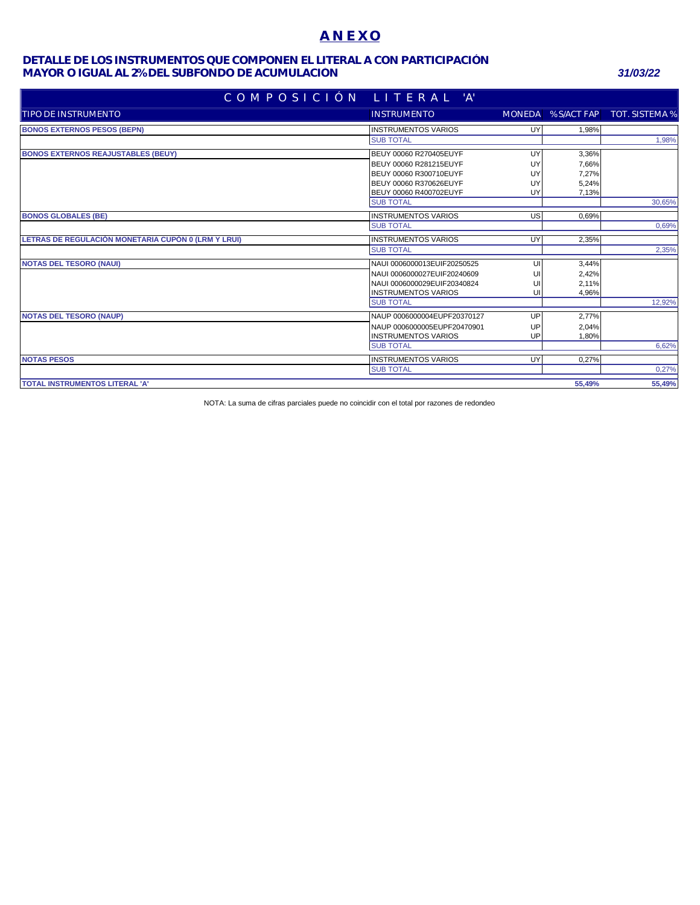## **A N E X O**

### **MAYOR O IGUAL AL 2% DEL SUBFONDO DE ACUMULACIÓN** *31/03/22* **DETALLE DE LOS INSTRUMENTOS QUE COMPONEN EL LITERAL A CON PARTICIPACIÓN**

| COMPOSICIÓN LITERAL 'A'                             |                             |            |        |                                   |
|-----------------------------------------------------|-----------------------------|------------|--------|-----------------------------------|
| TIPO DE INSTRUMENTO                                 | <b>INSTRUMENTO</b>          |            |        | MONEDA % S/ACT FAP TOT. SISTEMA % |
| <b>BONOS EXTERNOS PESOS (BEPN)</b>                  | <b>INSTRUMENTOS VARIOS</b>  | UY         | 1.98%  |                                   |
|                                                     | <b>SUB TOTAL</b>            |            |        | 1,98%                             |
| <b>BONOS EXTERNOS REAJUSTABLES (BEUY)</b>           | BEUY 00060 R270405EUYF      | UY         | 3,36%  |                                   |
|                                                     | BEUY 00060 R281215EUYF      | UY         | 7,66%  |                                   |
|                                                     | BEUY 00060 R300710EUYF      | <b>IIY</b> | 7,27%  |                                   |
|                                                     | BEUY 00060 R370626EUYF      | UY         | 5,24%  |                                   |
|                                                     | BEUY 00060 R400702EUYF      | UY         | 7,13%  |                                   |
|                                                     | <b>SUB TOTAL</b>            |            |        | 30,65%                            |
| <b>BONOS GLOBALES (BE)</b>                          | <b>INSTRUMENTOS VARIOS</b>  | <b>US</b>  | 0.69%  |                                   |
|                                                     | <b>SUB TOTAL</b>            |            |        | 0.69%                             |
| LETRAS DE REGULACIÓN MONETARIA CUPÓN 0 (LRM Y LRUI) | <b>INSTRUMENTOS VARIOS</b>  | UY         | 2.35%  |                                   |
|                                                     | <b>SUB TOTAL</b>            |            |        | 2.35%                             |
| <b>NOTAS DEL TESORO (NAUI)</b>                      | NAUI 0006000013EUIF20250525 | UI         | 3,44%  |                                   |
|                                                     | NAUI 0006000027EUIF20240609 | UI         | 2,42%  |                                   |
|                                                     | NAUI 0006000029EUIF20340824 | UI         | 2,11%  |                                   |
|                                                     | <b>INSTRUMENTOS VARIOS</b>  | UI         | 4,96%  |                                   |
|                                                     | <b>SUB TOTAL</b>            |            |        | 12,92%                            |
| <b>NOTAS DEL TESORO (NAUP)</b>                      | NAUP 0006000004EUPF20370127 | UP         | 2,77%  |                                   |
|                                                     | NAUP 0006000005EUPF20470901 | UP         | 2,04%  |                                   |
|                                                     | <b>INSTRUMENTOS VARIOS</b>  | UP         | 1,80%  |                                   |
|                                                     | <b>SUB TOTAL</b>            |            |        | 6,62%                             |
| <b>NOTAS PESOS</b>                                  | <b>INSTRUMENTOS VARIOS</b>  | UY         | 0,27%  |                                   |
|                                                     | <b>SUB TOTAL</b>            |            |        | 0,27%                             |
| <b>TOTAL INSTRUMENTOS LITERAL 'A'</b>               |                             |            | 55.49% | 55,49%                            |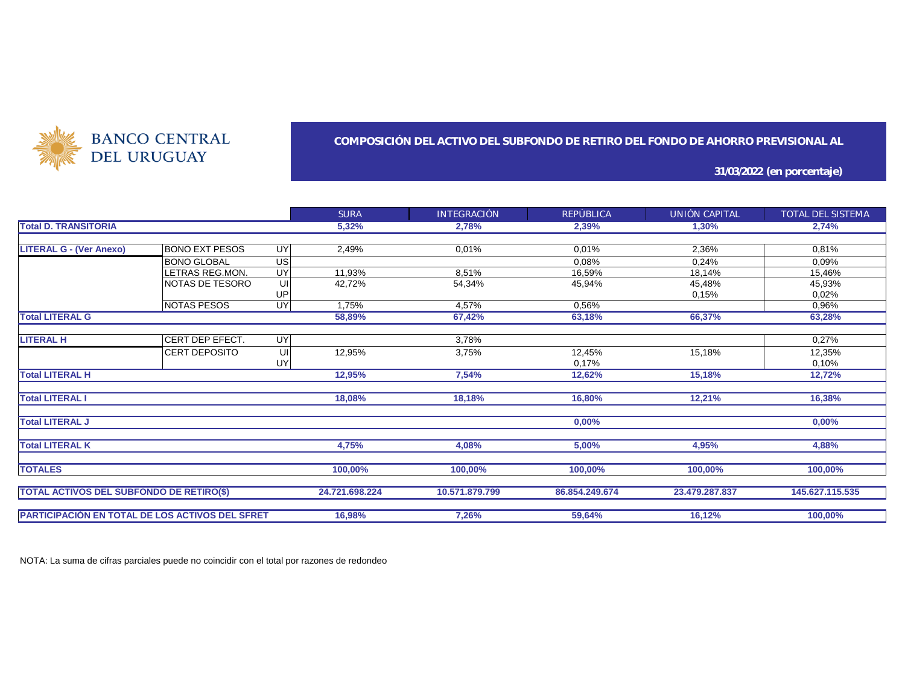

#### **COMPOSICIÓN DEL ACTIVO DEL SUBFONDO DE RETIRO DEL FONDO DE AHORRO PREVISIONAL AL**

**31/03/2022 (en porcentaje)**

|                                                        |                       |           | <b>SURA</b>    | <b>INTEGRACIÓN</b> | REPÚBLICA      | UNIÓN CAPITAL  | TOTAL DEL SISTEMA |
|--------------------------------------------------------|-----------------------|-----------|----------------|--------------------|----------------|----------------|-------------------|
| <b>Total D. TRANSITORIA</b>                            |                       |           | 5,32%          | 2,78%              | 2,39%          | 1,30%          | 2,74%             |
|                                                        |                       |           |                |                    |                |                |                   |
| <b>LITERAL G - (Ver Anexo)</b>                         | <b>BONO EXT PESOS</b> | UY        | 2.49%          | 0.01%              | 0.01%          | 2,36%          | 0,81%             |
|                                                        | <b>BONO GLOBAL</b>    | <b>US</b> |                |                    | 0,08%          | 0,24%          | 0,09%             |
|                                                        | LETRAS REG.MON.       | UY        | 11,93%         | 8,51%              | 16,59%         | 18,14%         | 15,46%            |
|                                                        | NOTAS DE TESORO       | UI        | 42,72%         | 54,34%             | 45,94%         | 45,48%         | 45,93%            |
|                                                        |                       | UP        |                |                    |                | 0,15%          | 0,02%             |
|                                                        | NOTAS PESOS           | UY        | 1,75%          | 4,57%              | 0,56%          |                | 0,96%             |
| <b>Total LITERAL G</b>                                 |                       |           | 58,89%         | 67,42%             | 63,18%         | 66,37%         | 63,28%            |
|                                                        |                       |           |                |                    |                |                |                   |
| <b>LITERAL H</b>                                       | CERT DEP EFECT.       | UY        |                | 3,78%              |                |                | 0,27%             |
|                                                        | <b>CERT DEPOSITO</b>  | UI        | 12,95%         | 3,75%              | 12,45%         | 15,18%         | 12,35%            |
|                                                        |                       | UY        |                |                    | 0,17%          |                | 0,10%             |
| <b>Total LITERAL H</b>                                 |                       |           | 12,95%         | 7,54%              | 12,62%         | 15,18%         | 12,72%            |
|                                                        |                       |           |                |                    |                |                |                   |
| <b>Total LITERAL I</b>                                 |                       |           | 18,08%         | 18,18%             | 16,80%         | 12,21%         | 16,38%            |
|                                                        |                       |           |                |                    |                |                |                   |
| <b>Total LITERAL J</b>                                 |                       |           |                |                    | 0,00%          |                | 0,00%             |
| <b>Total LITERAL K</b>                                 |                       |           |                |                    |                | 4,95%          | 4.88%             |
|                                                        |                       |           | 4,75%          | 4,08%              | 5,00%          |                |                   |
| <b>TOTALES</b>                                         |                       |           | 100,00%        | 100,00%            | 100,00%        | 100,00%        | 100,00%           |
|                                                        |                       |           |                |                    |                |                |                   |
| <b>TOTAL ACTIVOS DEL SUBFONDO DE RETIRO(\$)</b>        |                       |           | 24.721.698.224 | 10.571.879.799     | 86.854.249.674 | 23.479.287.837 | 145.627.115.535   |
|                                                        |                       |           |                |                    |                |                |                   |
| <b>PARTICIPACIÓN EN TOTAL DE LOS ACTIVOS DEL SFRET</b> |                       |           | 16,98%         | 7,26%              | 59,64%         | 16,12%         | 100,00%           |